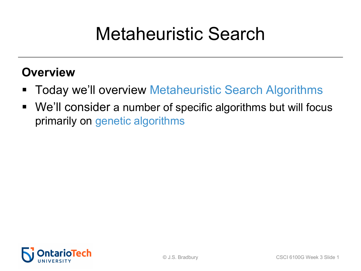## Metaheuristic Search

### **Overview**

- Today we'll overview Metaheuristic Search Algorithms
- We'll consider a number of specific algorithms but will focus primarily on genetic algorithms

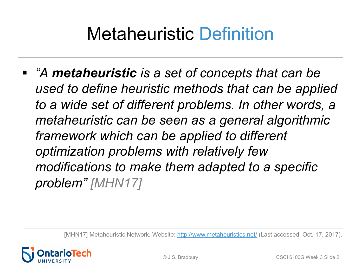## Metaheuristic Definition

§ *"A metaheuristic is a set of concepts that can be used to define heuristic methods that can be applied to define heuristic methods that can be ap to a wide set of different [problems. In o](http://www.metaheuristics.net/)ther words metaheuristic can be seen as a general algorith framework which can be applied to different optimization problems with relatively few modifications to make them adapted to a specifiend in modifications to make them adapted to a specifiend problem" [MHN17]*

[MHN17] Metaheuristic Network. Website: http://www.metaheuristics.net/ (Last accessed: O

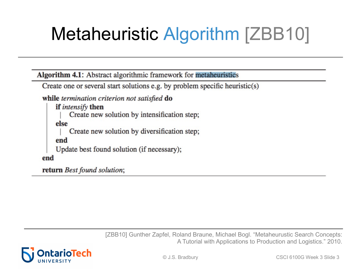# Metaheuristic Algorithm [ZBB10]

Algorithm 4.1: Abstract algorithmic framework for metaheuristics

Create one or several start solutions e.g. by problem specific heuristic(s)

while termination criterion not satisfied do

if *intensify* then Create new solution by intensification step; else Create new solution by diversification step; end Update best found solution (if necessary); end

return Best found solution;

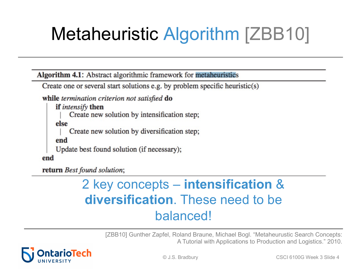# Metaheuristic Algorithm [ZBB10]

Algorithm 4.1: Abstract algorithmic framework for metaheuristics

Create one or several start solutions e.g. by problem specific heuristic(s)

while termination criterion not satisfied do

if *intensify* then Create new solution by intensification step; else Create new solution by diversification step; end Update best found solution (if necessary); end

return Best found solution;

### 2 key concepts – **intensification** & **diversification**. These need to be balanced!

[ZBB10] Gunther Zapfel, Roland Braune, Michael Bogl. "Metaheurustic Search Concepts: A Tutorial with Applications to Production and Logistics." 2010.

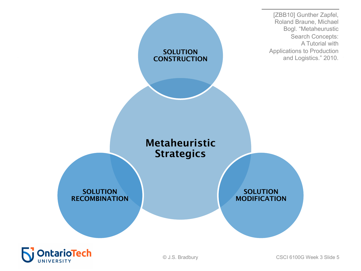

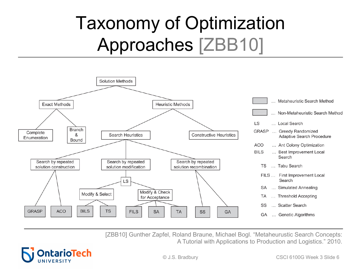# Taxonomy of Optimization Approaches [ZBB10]



[ZBB10] Gunther Zapfel, Roland Braune, Michael Bogl. "Metaheurustic Search Concepts: A Tutorial with Applications to Production and Logistics." 2010.

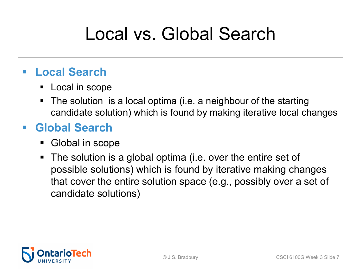## Local vs. Global Search

### § **Local Search**

- Local in scope
- The solution is a local optima (i.e. a neighbour of the starting candidate solution) which is found by making iterative local changes

### § **Global Search**

- Global in scope
- The solution is a global optima (i.e. over the entire set of possible solutions) which is found by iterative making changes that cover the entire solution space (e.g., possibly over a set of candidate solutions)

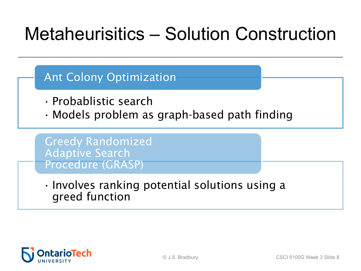## Metaheurisitics – Solution Construction

Ant Colony Optimization

- Probablistic search
- Models problem as graph-based path finding

Greedy Randomized Adaptive Search Procedure (GRASP)

• Involves ranking potential solutions using a greed function

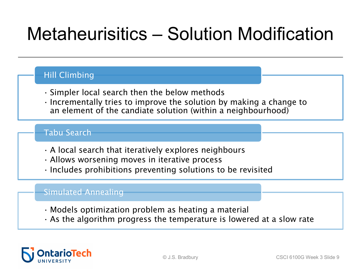## Metaheurisitics – Solution Modification

#### Hill Climbing

- Simpler local search then the below methods
- Incrementally tries to improve the solution by making a change to an element of the candiate solution (within a neighbourhood)

#### Tabu Search

- A local search that iteratively explores neighbours
- Allows worsening moves in iterative process
- Includes prohibitions preventing solutions to be revisited

#### Simulated Annealing

- Models optimization problem as heating a material
- $\cdot$  As the algorithm progress the temperature is lowered at a slow rate

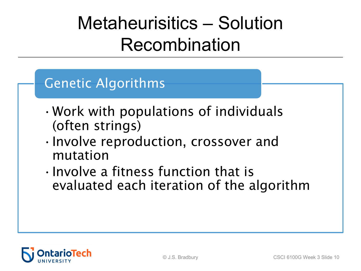## Metaheurisitics – Solution Recombination

### Genetic Algorithms

- •Work with populations of individuals (often strings)
- •Involve reproduction, crossover and mutation
- •Involve a fitness function that is evaluated each iteration of the algorithm

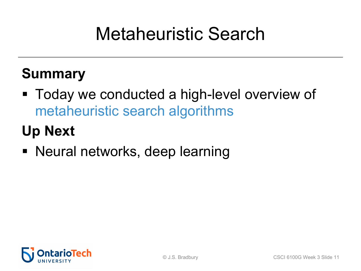## Metaheuristic Search

### **Summary**

§ Today we conducted a high-level overview of metaheuristic search algorithms

### **Up Next**

§ Neural networks, deep learning